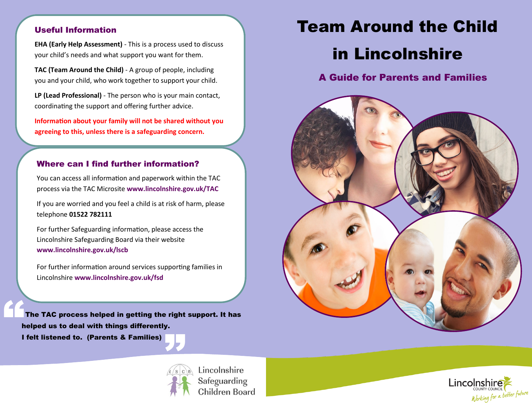### Useful Information

 **EHA (Early Help Assessment)** - This is a process used to discuss your child's needs and what support you want for them.

**TAC (Team Around the Child)** - A group of people, including you and your child, who work together to support your child.

**LP (Lead Professional)** - The person who is your main contact, coordinating the support and offering further advice.

 **agreeing to this, unless there is a safeguarding concern. Informaton about your family will not be shared without you**

## Where can I find further information?

You can access all information and paperwork within the TAC process via the TAC Microsite **[www.lincolnshire.gov.uk/TAC](http://microsites.lincolnshire.gov.uk/children/practitioners/team-around-the-child/)** 

If you are worried and you feel a child is at risk of harm, please telephone **01522 782111**

For further Safeguarding information, please access the Lincolnshire Safeguarding Board via their website **[www.lincolnshire.gov.uk/lscb](https://www.lincolnshire.gov.uk/lscb)** 

For further information around services supporting families in Lincolnshire **[www.lincolnshire.gov.uk/fsd](http://search3.openobjects.com/kb5/lincs/fsd/home.page)**

 The TAC process helped in getting the right support. It has helped us to deal with things differently. **I** felt listened to. (Parents & Families) "



**Example 12 Lincolnshire**<br> **Safeguarding**<br> **Children Boa** Safeguarding Children Board

# Team Around the Child

## in Lincolnshire

A Guide for Parents and Families